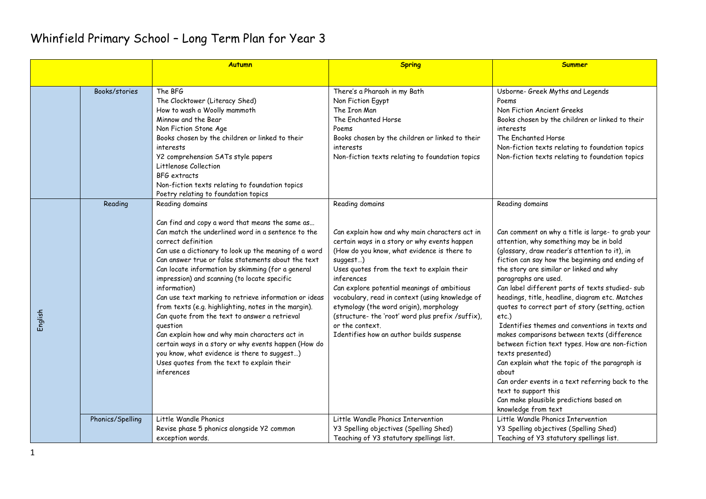|         |                  | <b>Autumn</b>                                                                                                                                                                                                                                                                                                                                                                                                                                                                                                                                                                                                                                                                                                                                                                          | <b>Spring</b>                                                                                                                                                                                                                                                                                                                                                                                                                                                                                             | <b>Summer</b>                                                                                                                                                                                                                                                                                                                                                                                                                                                                                                                                                                                                                                                                                                                                                                                                                                 |
|---------|------------------|----------------------------------------------------------------------------------------------------------------------------------------------------------------------------------------------------------------------------------------------------------------------------------------------------------------------------------------------------------------------------------------------------------------------------------------------------------------------------------------------------------------------------------------------------------------------------------------------------------------------------------------------------------------------------------------------------------------------------------------------------------------------------------------|-----------------------------------------------------------------------------------------------------------------------------------------------------------------------------------------------------------------------------------------------------------------------------------------------------------------------------------------------------------------------------------------------------------------------------------------------------------------------------------------------------------|-----------------------------------------------------------------------------------------------------------------------------------------------------------------------------------------------------------------------------------------------------------------------------------------------------------------------------------------------------------------------------------------------------------------------------------------------------------------------------------------------------------------------------------------------------------------------------------------------------------------------------------------------------------------------------------------------------------------------------------------------------------------------------------------------------------------------------------------------|
|         |                  |                                                                                                                                                                                                                                                                                                                                                                                                                                                                                                                                                                                                                                                                                                                                                                                        |                                                                                                                                                                                                                                                                                                                                                                                                                                                                                                           |                                                                                                                                                                                                                                                                                                                                                                                                                                                                                                                                                                                                                                                                                                                                                                                                                                               |
|         | Books/stories    | The BFG<br>The Clocktower (Literacy Shed)<br>How to wash a Woolly mammoth<br>Minnow and the Bear<br>Non Fiction Stone Age<br>Books chosen by the children or linked to their<br>interests<br>Y2 comprehension SATs style papers<br>Littlenose Collection<br>BFG extracts<br>Non-fiction texts relating to foundation topics<br>Poetry relating to foundation topics                                                                                                                                                                                                                                                                                                                                                                                                                    | There's a Pharaoh in my Bath<br>Non Fiction Egypt<br>The Iron Man<br>The Enchanted Horse<br>Poems<br>Books chosen by the children or linked to their<br>interests<br>Non-fiction texts relating to foundation topics                                                                                                                                                                                                                                                                                      | Usborne- Greek Myths and Legends<br>Poems<br>Non Fiction Ancient Greeks<br>Books chosen by the children or linked to their<br>interests<br>The Enchanted Horse<br>Non-fiction texts relating to foundation topics<br>Non-fiction texts relating to foundation topics                                                                                                                                                                                                                                                                                                                                                                                                                                                                                                                                                                          |
| English | Reading          | Reading domains<br>Can find and copy a word that means the same as<br>Can match the underlined word in a sentence to the<br>correct definition<br>Can use a dictionary to look up the meaning of a word<br>Can answer true or false statements about the text<br>Can locate information by skimming (for a general<br>impression) and scanning (to locate specific<br>information)<br>Can use text marking to retrieve information or ideas<br>from texts (e.g. highlighting, notes in the margin).<br>Can quote from the text to answer a retrieval<br>question<br>Can explain how and why main characters act in<br>certain ways in a story or why events happen (How do<br>you know, what evidence is there to suggest)<br>Uses quotes from the text to explain their<br>inferences | Reading domains<br>Can explain how and why main characters act in<br>certain ways in a story or why events happen<br>(How do you know, what evidence is there to<br>suggest)<br>Uses quotes from the text to explain their<br>inferences<br>Can explore potential meanings of ambitious<br>vocabulary, read in context (using knowledge of<br>etymology (the word origin), morphology<br>(structure- the 'root' word plus prefix /suffix),<br>or the context.<br>Identifies how an author builds suspense | Reading domains<br>Can comment on why a title is large- to grab your<br>attention, why something may be in bold<br>(glossary, draw reader's attention to it), in<br>fiction can say how the beginning and ending of<br>the story are similar or linked and why<br>paragraphs are used.<br>Can label different parts of texts studied- sub<br>headings, title, headline, diagram etc. Matches<br>quotes to correct part of story (setting, action<br>$etc.$ )<br>Identifies themes and conventions in texts and<br>makes comparisons between texts (difference<br>between fiction text types. How are non-fiction<br>texts presented)<br>Can explain what the topic of the paragraph is<br>about<br>Can order events in a text referring back to the<br>text to support this<br>Can make plausible predictions based on<br>knowledge from text |
|         | Phonics/Spelling | Little Wandle Phonics<br>Revise phase 5 phonics alongside Y2 common<br>exception words.                                                                                                                                                                                                                                                                                                                                                                                                                                                                                                                                                                                                                                                                                                | Little Wandle Phonics Intervention<br>Y3 Spelling objectives (Spelling Shed)<br>Teaching of Y3 statutory spellings list.                                                                                                                                                                                                                                                                                                                                                                                  | Little Wandle Phonics Intervention<br>Y3 Spelling objectives (Spelling Shed)<br>Teaching of Y3 statutory spellings list.                                                                                                                                                                                                                                                                                                                                                                                                                                                                                                                                                                                                                                                                                                                      |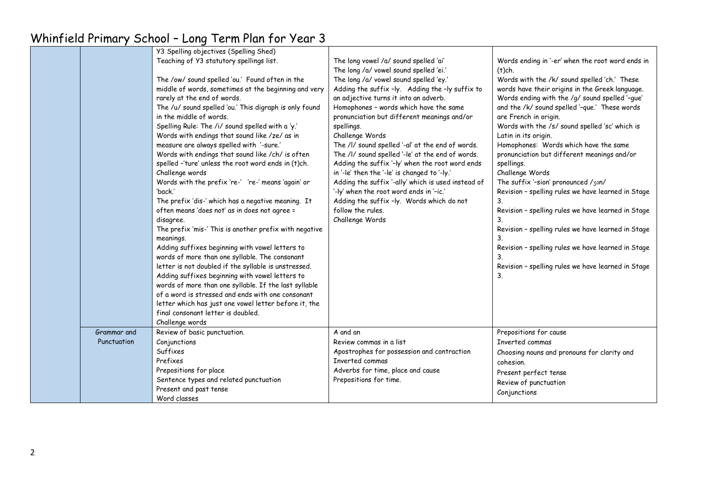|             | Y3 Spelling objectives (Spelling Shed)                 |                                                    |                                                    |
|-------------|--------------------------------------------------------|----------------------------------------------------|----------------------------------------------------|
|             | Teaching of Y3 statutory spellings list.               | The long vowel /a/ sound spelled 'ai'              | Words ending in '-er' when the root word ends in   |
|             |                                                        | The long /a/ vowel sound spelled 'ei.'             | $(t)$ ch.                                          |
|             | The /ow/ sound spelled 'ou.' Found often in the        | The long /a/ vowel sound spelled 'ey.'             | Words with the /k/ sound spelled 'ch.' These       |
|             | middle of words, sometimes at the beginning and very   | Adding the suffix -ly. Adding the -ly suffix to    | words have their origins in the Greek language.    |
|             | rarely at the end of words.                            | an adjective turns it into an adverb.              | Words ending with the /g/ sound spelled '-gue'     |
|             | The /u/ sound spelled 'ou.' This digraph is only found | Homophones - words which have the same             | and the /k/ sound spelled '-que.' These words      |
|             | in the middle of words.                                | pronunciation but different meanings and/or        | are French in origin.                              |
|             | Spelling Rule: The /i/ sound spelled with a 'y.'       | spellings.                                         | Words with the /s/ sound spelled 'sc' which is     |
|             | Words with endings that sound like /ze/ as in          | Challenge Words                                    | Latin in its origin.                               |
|             | measure are always spelled with '-sure.'               | The /I/ sound spelled '-al' at the end of words.   | Homophones: Words which have the same              |
|             | Words with endings that sound like /ch/ is often       | The /l/ sound spelled '-le' at the end of words.   | pronunciation but different meanings and/or        |
|             | spelled -'ture' unless the root word ends in (t)ch.    | Adding the suffix '-ly' when the root word ends    | spellings.                                         |
|             | Challenge words                                        | in '-le' then the '-le' is changed to '-ly.'       | Challenge Words                                    |
|             | Words with the prefix 're-' 're-' means 'again' or     | Adding the suffix '-ally' which is used instead of | The suffix '-sion' pronounced /3an/                |
|             | 'back.'                                                | '-ly' when the root word ends in '-ic.'            | Revision - spelling rules we have learned in Stage |
|             | The prefix 'dis-' which has a negative meaning. It     | Adding the suffix -ly. Words which do not          | 3.                                                 |
|             | often means 'does not' as in does not agree =          | follow the rules.                                  | Revision - spelling rules we have learned in Stage |
|             | disagree.                                              | Challenge Words                                    | 3.                                                 |
|             | The prefix 'mis-' This is another prefix with negative |                                                    | Revision - spelling rules we have learned in Stage |
|             | meanings.                                              |                                                    | 3.                                                 |
|             | Adding suffixes beginning with vowel letters to        |                                                    | Revision - spelling rules we have learned in Stage |
|             | words of more than one syllable. The consonant         |                                                    | 3.                                                 |
|             | letter is not doubled if the syllable is unstressed.   |                                                    | Revision - spelling rules we have learned in Stage |
|             | Adding suffixes beginning with vowel letters to        |                                                    | 3.                                                 |
|             | words of more than one syllable. If the last syllable  |                                                    |                                                    |
|             | of a word is stressed and ends with one consonant      |                                                    |                                                    |
|             | letter which has just one vowel letter before it, the  |                                                    |                                                    |
|             | final consonant letter is doubled.                     |                                                    |                                                    |
|             | Challenge words                                        |                                                    |                                                    |
| Grammar and | Review of basic punctuation.                           | A and an                                           | Prepositions for cause                             |
| Punctuation | Conjunctions                                           | Review commas in a list                            | Inverted commas                                    |
|             | Suffixes                                               | Apostrophes for possession and contraction         | Choosing nouns and pronouns for clarity and        |
|             | Prefixes                                               | Inverted commas                                    | cohesion.                                          |
|             | Prepositions for place                                 | Adverbs for time, place and cause                  | Present perfect tense                              |
|             | Sentence types and related punctuation                 | Prepositions for time.                             | Review of punctuation                              |
|             | Present and past tense                                 |                                                    | Conjunctions                                       |
|             | Word classes                                           |                                                    |                                                    |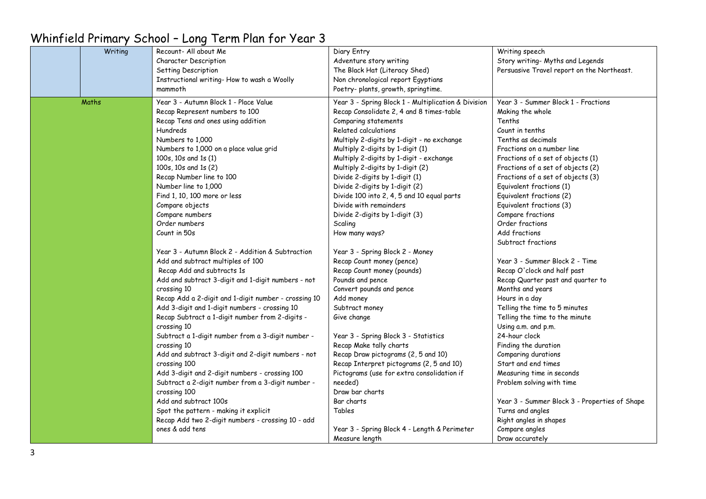#### Writing Recount- All about Me Character Description Setting Description Instructional writing- How to wash a Woolly mammoth Diary Entry Adventure story writing The Black Hat (Literacy Shed) Non chronological report Egyptians Poetry- plants, arowth, springtime. Writing speech Story writing- Myths and Legends Persuasive Travel report on the Northeast. Maths Year 3 - Autumn Block 1 - Place Value Recap Represent numbers to 100 Recap Tens and ones using addition Hundreds Numbers to 1,000 Numbers to 1,000 on a place value grid 100s, 10s and 1s (1) 100s, 10s and 1s (2) Recap Number line to 100 Number line to 1,000 Find 1, 10, 100 more or less Compare objects Compare numbers Order numbers Count in 50s Year 3 - Autumn Block 2 - Addition & Subtraction Add and subtract multiples of 100 Recap Add and subtracts 1s Add and subtract 3-digit and 1-digit numbers - not crossing 10 Recap Add a 2-digit and 1-digit number - crossing 10 Add 3-digit and 1-digit numbers - crossing 10 Recap Subtract a 1-digit number from 2-digits crossing 10 Subtract a 1-digit number from a 3-digit number crossing 10 Add and subtract 3-digit and 2-digit numbers - not crossing 100 Add 3-digit and 2-digit numbers - crossing 100 Subtract a 2-digit number from a 3-digit number crossing 100 Add and subtract 100s Spot the pattern - making it explicit Recap Add two 2-digit numbers - crossing 10 - add ones & add tens Year 3 - Spring Block 1 - Multiplication & Division Recap Consolidate 2, 4 and 8 times-table Comparing statements Related calculations Multiply 2-digits by 1-digit - no exchange Multiply 2-digits by 1-digit (1) Multiply 2-digits by 1-digit - exchange Multiply 2-digits by 1-digit (2) Divide 2-digits by 1-digit (1) Divide 2-digits by 1-digit (2) Divide 100 into 2, 4, 5 and 10 equal parts Divide with remainders Divide 2-digits by 1-digit (3) **Scaling** How many ways? Year 3 - Spring Block 2 - Money Recap Count money (pence) Recap Count money (pounds) Pounds and pence Convert pounds and pence Add money Subtract money Give change Year 3 - Spring Block 3 - Statistics Recap Make tally charts Recap Draw pictograms (2, 5 and 10) Recap Interpret pictograms (2, 5 and 10) Pictograms (use for extra consolidation if needed) Draw bar charts Bar charts Tables Year 3 - Spring Block 4 - Length & Perimeter Measure length Year 3 - Summer Block 1 - Fractions Making the whole Tenths Count in tenths Tenths as decimals Fractions on a number line Fractions of a set of objects (1) Fractions of a set of objects (2) Fractions of a set of objects (3) Equivalent fractions (1) Equivalent fractions (2) Equivalent fractions (3) Compare fractions Order fractions Add fractions Subtract fractions Year 3 - Summer Block 2 - Time Recap O'clock and half past Recap Quarter past and quarter to Months and years Hours in a day Telling the time to 5 minutes Telling the time to the minute Using a.m. and p.m. 24-hour clock Finding the duration Comparing durations Start and end times Measuring time in seconds Problem solving with time Year 3 - Summer Block 3 - Properties of Shape Turns and angles Right angles in shapes Compare angles Draw accurately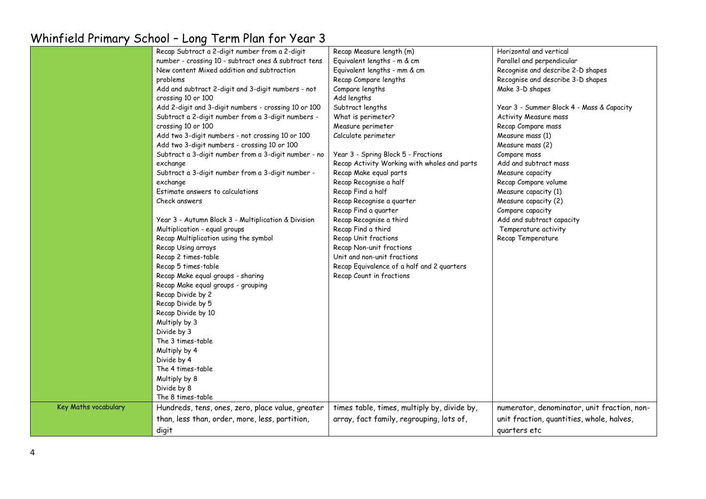|                      | Recap Subtract a 2-digit number from a 2-digit       | Recap Measure length (m)                     | Horizontal and vertical                     |
|----------------------|------------------------------------------------------|----------------------------------------------|---------------------------------------------|
|                      | number - crossing 10 - subtract ones & subtract tens | Equivalent lengths - m & cm                  | Parallel and perpendicular                  |
|                      | New content Mixed addition and subtraction           | Equivalent lengths - mm & cm                 | Recognise and describe 2-D shapes           |
|                      | problems                                             | Recap Compare lengths                        | Recognise and describe 3-D shapes           |
|                      | Add and subtract 2-digit and 3-digit numbers - not   | Compare lengths                              | Make 3-D shapes                             |
|                      | crossing 10 or 100                                   | Add lengths                                  |                                             |
|                      | Add 2-digit and 3-digit numbers - crossing 10 or 100 | Subtract lengths                             | Year 3 - Summer Block 4 - Mass & Capacity   |
|                      | Subtract a 2-digit number from a 3-digit numbers -   | What is perimeter?                           | Activity Measure mass                       |
|                      | crossing 10 or 100                                   | Measure perimeter                            | Recap Compare mass                          |
|                      | Add two 3-digit numbers - not crossing 10 or 100     | Calculate perimeter                          | Measure mass (1)                            |
|                      | Add two 3-digit numbers - crossing 10 or 100         |                                              | Measure mass (2)                            |
|                      | Subtract a 3-digit number from a 3-digit number - no | Year 3 - Spring Block 5 - Fractions          | Compare mass                                |
|                      | exchange                                             | Recap Activity Working with wholes and parts | Add and subtract mass                       |
|                      | Subtract a 3-digit number from a 3-digit number -    | Recap Make equal parts                       | Measure capacity                            |
|                      | exchange                                             | Recap Recognise a half                       | Recap Compare volume                        |
|                      | Estimate answers to calculations                     | Recap Find a half                            | Measure capacity (1)                        |
|                      | Check answers                                        | Recap Recognise a quarter                    | Measure capacity (2)                        |
|                      |                                                      | Recap Find a quarter                         | Compare capacity                            |
|                      | Year 3 - Autumn Block 3 - Multiplication & Division  | Recap Recognise a third                      | Add and subtract capacity                   |
|                      | Multiplication - equal groups                        | Recap Find a third                           | Temperature activity                        |
|                      | Recap Multiplication using the symbol                | Recap Unit fractions                         | Recap Temperature                           |
|                      | Recap Using arrays                                   | Recap Non-unit fractions                     |                                             |
|                      | Recap 2 times-table                                  | Unit and non-unit fractions                  |                                             |
|                      | Recap 5 times-table                                  | Recap Equivalence of a half and 2 quarters   |                                             |
|                      | Recap Make equal groups - sharing                    | Recap Count in fractions                     |                                             |
|                      | Recap Make equal groups - grouping                   |                                              |                                             |
|                      | Recap Divide by 2                                    |                                              |                                             |
|                      | Recap Divide by 5                                    |                                              |                                             |
|                      | Recap Divide by 10                                   |                                              |                                             |
|                      | Multiply by 3                                        |                                              |                                             |
|                      | Divide by 3                                          |                                              |                                             |
|                      | The 3 times-table                                    |                                              |                                             |
|                      | Multiply by 4                                        |                                              |                                             |
|                      | Divide by 4                                          |                                              |                                             |
|                      | The 4 times-table                                    |                                              |                                             |
|                      | Multiply by 8                                        |                                              |                                             |
|                      | Divide by 8                                          |                                              |                                             |
|                      | The 8 times-table                                    |                                              |                                             |
| Key Maths vocabulary | Hundreds, tens, ones, zero, place value, greater     | times table, times, multiply by, divide by,  | numerator, denominator, unit fraction, non- |
|                      | than, less than, order, more, less, partition,       | array, fact family, regrouping, lots of,     | unit fraction, quantities, whole, halves,   |
|                      |                                                      |                                              |                                             |
|                      | digit                                                |                                              | quarters etc                                |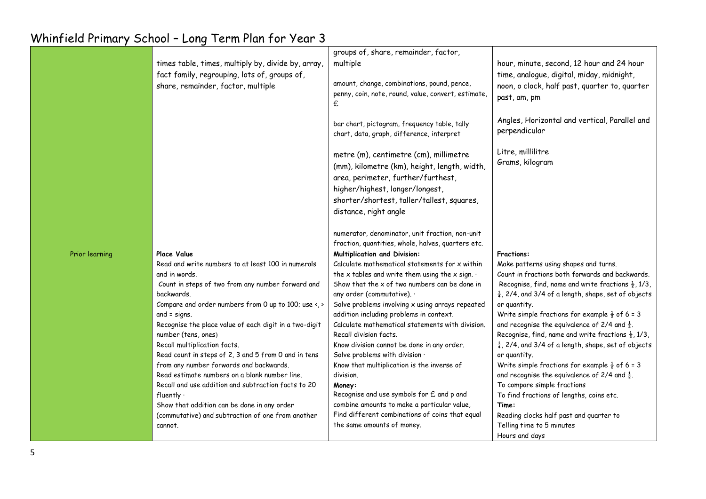|                | times table, times, multiply by, divide by, array,<br>fact family, regrouping, lots of, groups of,<br>share, remainder, factor, multiple                                                                                                                                                                                                                                                                                                                                                                                                                                                                                                                                                              | groups of, share, remainder, factor,<br>multiple<br>amount, change, combinations, pound, pence,<br>penny, coin, note, round, value, convert, estimate,<br>£<br>bar chart, pictogram, frequency table, tally<br>chart, data, graph, difference, interpret<br>metre (m), centimetre (cm), millimetre<br>(mm), kilometre (km), height, length, width,                                                                                                                                                                                                                                                                                                                                                                                             | hour, minute, second, 12 hour and 24 hour<br>time, analogue, digital, miday, midnight,<br>noon, o clock, half past, quarter to, quarter<br>past, am, pm<br>Angles, Horizontal and vertical, Parallel and<br>perpendicular<br>Litre, millilitre<br>Grams, kilogram                                                                                                                                                                                                                                                                                                                                                                                                                                                                                                                                                                                       |
|----------------|-------------------------------------------------------------------------------------------------------------------------------------------------------------------------------------------------------------------------------------------------------------------------------------------------------------------------------------------------------------------------------------------------------------------------------------------------------------------------------------------------------------------------------------------------------------------------------------------------------------------------------------------------------------------------------------------------------|------------------------------------------------------------------------------------------------------------------------------------------------------------------------------------------------------------------------------------------------------------------------------------------------------------------------------------------------------------------------------------------------------------------------------------------------------------------------------------------------------------------------------------------------------------------------------------------------------------------------------------------------------------------------------------------------------------------------------------------------|---------------------------------------------------------------------------------------------------------------------------------------------------------------------------------------------------------------------------------------------------------------------------------------------------------------------------------------------------------------------------------------------------------------------------------------------------------------------------------------------------------------------------------------------------------------------------------------------------------------------------------------------------------------------------------------------------------------------------------------------------------------------------------------------------------------------------------------------------------|
|                |                                                                                                                                                                                                                                                                                                                                                                                                                                                                                                                                                                                                                                                                                                       | area, perimeter, further/furthest,<br>higher/highest, longer/longest,<br>shorter/shortest, taller/tallest, squares,<br>distance, right angle<br>numerator, denominator, unit fraction, non-unit<br>fraction, quantities, whole, halves, quarters etc.                                                                                                                                                                                                                                                                                                                                                                                                                                                                                          |                                                                                                                                                                                                                                                                                                                                                                                                                                                                                                                                                                                                                                                                                                                                                                                                                                                         |
| Prior learning | <b>Place Value</b><br>Read and write numbers to at least 100 in numerals<br>and in words.<br>Count in steps of two from any number forward and<br>backwards.<br>Compare and order numbers from 0 up to 100; use <, ><br>and $=$ signs.<br>Recognise the place value of each digit in a two-digit<br>number (tens, ones)<br>Recall multiplication facts.<br>Read count in steps of 2, 3 and 5 from 0 and in tens<br>from any number forwards and backwards.<br>Read estimate numbers on a blank number line.<br>Recall and use addition and subtraction facts to 20<br>fluently $\cdot$<br>Show that addition can be done in any order<br>(commutative) and subtraction of one from another<br>cannot. | <b>Multiplication and Division:</b><br>Calculate mathematical statements for x within<br>the x tables and write them using the x sign. $\cdot$<br>Show that the $x$ of two numbers can be done in<br>any order (commutative). .<br>Solve problems involving x using arrays repeated<br>addition including problems in context.<br>Calculate mathematical statements with division.<br>Recall division facts.<br>Know division cannot be done in any order.<br>Solve problems with division .<br>Know that multiplication is the inverse of<br>division.<br>Money:<br>Recognise and use symbols for £ and p and<br>combine amounts to make a particular value,<br>Find different combinations of coins that equal<br>the same amounts of money. | <b>Fractions:</b><br>Make patterns using shapes and turns.<br>Count in fractions both forwards and backwards.<br>Recognise, find, name and write fractions $\frac{1}{2}$ , 1/3,<br>$\frac{1}{4}$ , 2/4, and 3/4 of a length, shape, set of objects<br>or quantity.<br>Write simple fractions for example $\frac{1}{2}$ of 6 = 3<br>and recognise the equivalence of 2/4 and $\frac{1}{2}$ .<br>Recognise, find, name and write fractions $\frac{1}{2}$ , 1/3,<br>$\frac{1}{4}$ , 2/4, and 3/4 of a length, shape, set of objects<br>or quantity.<br>Write simple fractions for example $\frac{1}{2}$ of 6 = 3<br>and recognise the equivalence of 2/4 and $\frac{1}{2}$ .<br>To compare simple fractions<br>To find fractions of lengths, coins etc.<br>Time:<br>Reading clocks half past and quarter to<br>Telling time to 5 minutes<br>Hours and days |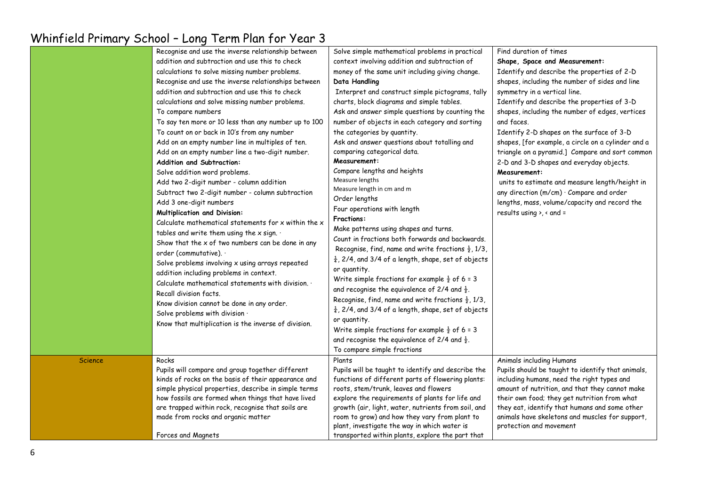|                | Recognise and use the inverse relationship between   | Solve simple mathematical problems in practical                 | Find duration of times                             |
|----------------|------------------------------------------------------|-----------------------------------------------------------------|----------------------------------------------------|
|                | addition and subtraction and use this to check       | context involving addition and subtraction of                   | Shape, Space and Measurement:                      |
|                | calculations to solve missing number problems.       | money of the same unit including giving change.                 | Identify and describe the properties of 2-D        |
|                | Recognise and use the inverse relationships between  | Data Handling                                                   | shapes, including the number of sides and line     |
|                | addition and subtraction and use this to check       | Interpret and construct simple pictograms, tally                | symmetry in a vertical line.                       |
|                | calculations and solve missing number problems.      | charts, block diagrams and simple tables.                       | Identify and describe the properties of 3-D        |
|                | To compare numbers                                   | Ask and answer simple questions by counting the                 | shapes, including the number of edges, vertices    |
|                | To say ten more or 10 less than any number up to 100 | number of objects in each category and sorting                  | and faces.                                         |
|                | To count on or back in 10's from any number          | the categories by quantity.                                     | Identify 2-D shapes on the surface of 3-D          |
|                | Add on an empty number line in multiples of ten.     | Ask and answer questions about totalling and                    | shapes, [for example, a circle on a cylinder and a |
|                | Add on an empty number line a two-digit number.      | comparing categorical data.                                     | triangle on a pyramid.] Compare and sort common    |
|                | <b>Addition and Subtraction:</b>                     | Measurement:                                                    | 2-D and 3-D shapes and everyday objects.           |
|                | Solve addition word problems.                        | Compare lengths and heights                                     | Measurement:                                       |
|                | Add two 2-digit number - column addition             | Measure lengths                                                 | units to estimate and measure length/height in     |
|                | Subtract two 2-digit number - column subtraction     | Measure length in cm and m                                      | any direction (m/cm) · Compare and order           |
|                | Add 3 one-digit numbers                              | Order lengths                                                   | lengths, mass, volume/capacity and record the      |
|                | <b>Multiplication and Division:</b>                  | Four operations with length                                     | results using $\lambda$ , $\alpha$ and =           |
|                | Calculate mathematical statements for x within the x | <b>Fractions:</b>                                               |                                                    |
|                | tables and write them using the x sign. .            | Make patterns using shapes and turns.                           |                                                    |
|                | Show that the $x$ of two numbers can be done in any  | Count in fractions both forwards and backwards.                 |                                                    |
|                | order (commutative). .                               | Recognise, find, name and write fractions $\frac{1}{2}$ , 1/3,  |                                                    |
|                | Solve problems involving x using arrays repeated     | $\frac{1}{4}$ , 2/4, and 3/4 of a length, shape, set of objects |                                                    |
|                | addition including problems in context.              | or quantity.                                                    |                                                    |
|                | Calculate mathematical statements with division. .   | Write simple fractions for example $\frac{1}{2}$ of 6 = 3       |                                                    |
|                | Recall division facts.                               | and recognise the equivalence of 2/4 and $\frac{1}{2}$ .        |                                                    |
|                | Know division cannot be done in any order.           | Recognise, find, name and write fractions $\frac{1}{2}$ , 1/3,  |                                                    |
|                | Solve problems with division .                       | $\frac{1}{4}$ , 2/4, and 3/4 of a length, shape, set of objects |                                                    |
|                | Know that multiplication is the inverse of division. | or quantity.                                                    |                                                    |
|                |                                                      | Write simple fractions for example $\frac{1}{2}$ of 6 = 3       |                                                    |
|                |                                                      | and recognise the equivalence of 2/4 and $\frac{1}{2}$ .        |                                                    |
|                |                                                      | To compare simple fractions                                     |                                                    |
| <b>Science</b> | Rocks                                                | Plants                                                          | Animals including Humans                           |
|                | Pupils will compare and group together different     | Pupils will be taught to identify and describe the              | Pupils should be taught to identify that animals,  |
|                | kinds of rocks on the basis of their appearance and  | functions of different parts of flowering plants:               | including humans, need the right types and         |
|                | simple physical properties, describe in simple terms | roots, stem/trunk, leaves and flowers                           | amount of nutrition, and that they cannot make     |
|                | how fossils are formed when things that have lived   | explore the requirements of plants for life and                 | their own food; they get nutrition from what       |
|                | are trapped within rock, recognise that soils are    | growth (air, light, water, nutrients from soil, and             | they eat, identify that humans and some other      |
|                | made from rocks and organic matter                   | room to grow) and how they vary from plant to                   | animals have skeletons and muscles for support,    |
|                |                                                      | plant, investigate the way in which water is                    | protection and movement                            |
|                | Forces and Magnets                                   | transported within plants, explore the part that                |                                                    |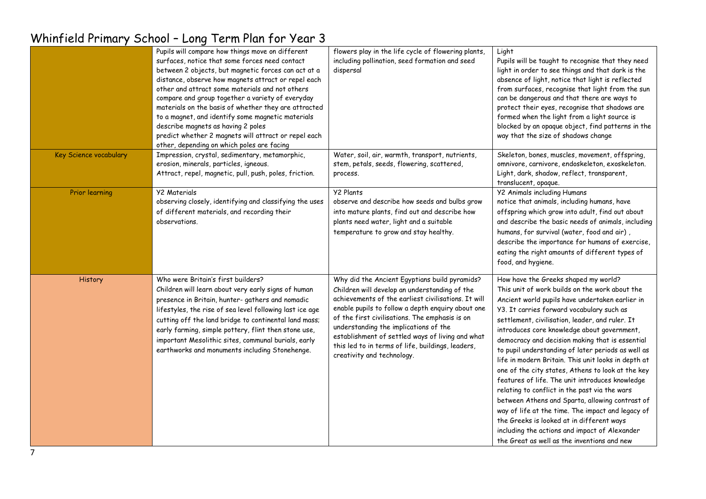|                        | Pupils will compare how things move on different<br>surfaces, notice that some forces need contact<br>between 2 objects, but magnetic forces can act at a<br>distance, observe how magnets attract or repel each<br>other and attract some materials and not others<br>compare and group together a variety of everyday<br>materials on the basis of whether they are attracted<br>to a magnet, and identify some magnetic materials<br>describe magnets as having 2 poles<br>predict whether 2 magnets will attract or repel each<br>other, depending on which poles are facing | flowers play in the life cycle of flowering plants,<br>including pollination, seed formation and seed<br>dispersal                                                                                                                                                                                                                                                                                                                           | Light<br>Pupils will be taught to recognise that they need<br>light in order to see things and that dark is the<br>absence of light, notice that light is reflected<br>from surfaces, recognise that light from the sun<br>can be dangerous and that there are ways to<br>protect their eyes, recognise that shadows are<br>formed when the light from a light source is<br>blocked by an opaque object, find patterns in the<br>way that the size of shadows change                                                                                                                                                                                                                                                                                                                                                                                                   |
|------------------------|----------------------------------------------------------------------------------------------------------------------------------------------------------------------------------------------------------------------------------------------------------------------------------------------------------------------------------------------------------------------------------------------------------------------------------------------------------------------------------------------------------------------------------------------------------------------------------|----------------------------------------------------------------------------------------------------------------------------------------------------------------------------------------------------------------------------------------------------------------------------------------------------------------------------------------------------------------------------------------------------------------------------------------------|------------------------------------------------------------------------------------------------------------------------------------------------------------------------------------------------------------------------------------------------------------------------------------------------------------------------------------------------------------------------------------------------------------------------------------------------------------------------------------------------------------------------------------------------------------------------------------------------------------------------------------------------------------------------------------------------------------------------------------------------------------------------------------------------------------------------------------------------------------------------|
| Key Science vocabulary | Impression, crystal, sedimentary, metamorphic,<br>erosion, minerals, particles, igneous.<br>Attract, repel, magnetic, pull, push, poles, friction.                                                                                                                                                                                                                                                                                                                                                                                                                               | Water, soil, air, warmth, transport, nutrients,<br>stem, petals, seeds, flowering, scattered,<br>process.                                                                                                                                                                                                                                                                                                                                    | Skeleton, bones, muscles, movement, offspring,<br>omnivore, carnivore, endoskeleton, exoskeleton.<br>Light, dark, shadow, reflect, transparent,<br>translucent, opaque.                                                                                                                                                                                                                                                                                                                                                                                                                                                                                                                                                                                                                                                                                                |
| <b>Prior learning</b>  | <b>Y2 Materials</b><br>observing closely, identifying and classifying the uses<br>of different materials, and recording their<br>observations.                                                                                                                                                                                                                                                                                                                                                                                                                                   | <b>Y2 Plants</b><br>observe and describe how seeds and bulbs grow<br>into mature plants, find out and describe how<br>plants need water, light and a suitable<br>temperature to grow and stay healthy.                                                                                                                                                                                                                                       | <b>Y2 Animals including Humans</b><br>notice that animals, including humans, have<br>offspring which grow into adult, find out about<br>and describe the basic needs of animals, including<br>humans, for survival (water, food and air),<br>describe the importance for humans of exercise,<br>eating the right amounts of different types of<br>food, and hygiene.                                                                                                                                                                                                                                                                                                                                                                                                                                                                                                   |
| History                | Who were Britain's first builders?<br>Children will learn about very early signs of human<br>presence in Britain, hunter- gathers and nomadic<br>lifestyles, the rise of sea level following last ice age<br>cutting off the land bridge to continental land mass;<br>early farming, simple pottery, flint then stone use,<br>important Mesolithic sites, communal burials, early<br>earthworks and monuments including Stonehenge.                                                                                                                                              | Why did the Ancient Egyptians build pyramids?<br>Children will develop an understanding of the<br>achievements of the earliest civilisations. It will<br>enable pupils to follow a depth enquiry about one<br>of the first civilisations. The emphasis is on<br>understanding the implications of the<br>establishment of settled ways of living and what<br>this led to in terms of life, buildings, leaders,<br>creativity and technology. | How have the Greeks shaped my world?<br>This unit of work builds on the work about the<br>Ancient world pupils have undertaken earlier in<br>Y3. It carries forward vocabulary such as<br>settlement, civilisation, leader, and ruler. It<br>introduces core knowledge about government,<br>democracy and decision making that is essential<br>to pupil understanding of later periods as well as<br>life in modern Britain. This unit looks in depth at<br>one of the city states, Athens to look at the key<br>features of life. The unit introduces knowledge<br>relating to conflict in the past via the wars<br>between Athens and Sparta, allowing contrast of<br>way of life at the time. The impact and legacy of<br>the Greeks is looked at in different ways<br>including the actions and impact of Alexander<br>the Great as well as the inventions and new |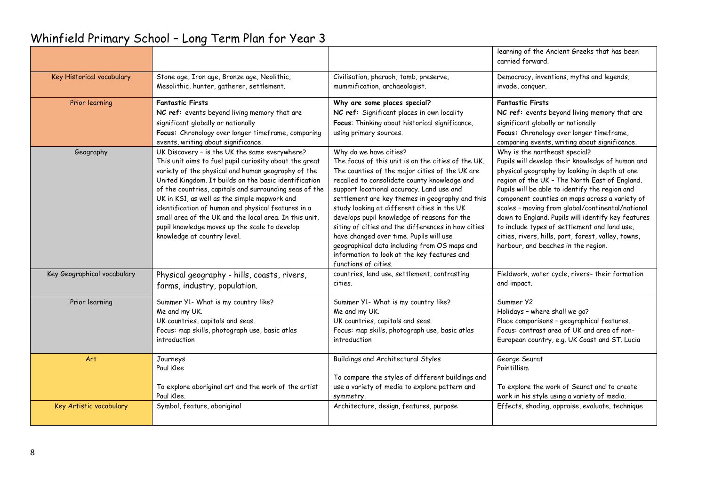|                             |                                                                                                         |                                                                                               | learning of the Ancient Greeks that has been                                                        |
|-----------------------------|---------------------------------------------------------------------------------------------------------|-----------------------------------------------------------------------------------------------|-----------------------------------------------------------------------------------------------------|
|                             |                                                                                                         |                                                                                               | carried forward.                                                                                    |
| Key Historical vocabulary   | Stone age, Iron age, Bronze age, Neolithic,                                                             | Civilisation, pharaoh, tomb, preserve,                                                        | Democracy, inventions, myths and legends,                                                           |
|                             | Mesolithic, hunter, gatherer, settlement.                                                               | mummification, archaeologist.                                                                 | invade, conquer.                                                                                    |
| Prior learning              | <b>Fantastic Firsts</b>                                                                                 | Why are some places special?                                                                  | <b>Fantastic Firsts</b>                                                                             |
|                             | NC ref: events beyond living memory that are                                                            | NC ref: Significant places in own locality                                                    | NC ref: events beyond living memory that are                                                        |
|                             | significant globally or nationally                                                                      | Focus: Thinking about historical significance,                                                | significant globally or nationally                                                                  |
|                             | Focus: Chronology over longer timeframe, comparing                                                      | using primary sources.                                                                        | Focus: Chronology over longer timeframe,                                                            |
|                             | events, writing about significance.                                                                     |                                                                                               | comparing events, writing about significance.                                                       |
| Geography                   | UK Discovery - is the UK the same everywhere?<br>This unit aims to fuel pupil curiosity about the great | Why do we have cities?<br>The focus of this unit is on the cities of the UK.                  | Why is the northeast special?<br>Pupils will develop their knowledge of human and                   |
|                             | variety of the physical and human geography of the                                                      | The counties of the major cities of the UK are                                                | physical geography by looking in depth at one                                                       |
|                             | United Kingdom. It builds on the basic identification                                                   | recalled to consolidate county knowledge and                                                  | region of the UK - The North East of England.                                                       |
|                             | of the countries, capitals and surrounding seas of the                                                  | support locational accuracy. Land use and                                                     | Pupils will be able to identify the region and                                                      |
|                             | UK in KS1, as well as the simple mapwork and                                                            | settlement are key themes in geography and this                                               | component counties on maps across a variety of                                                      |
|                             | identification of human and physical features in a                                                      | study looking at different cities in the UK                                                   | scales - moving from global/continental/national                                                    |
|                             | small area of the UK and the local area. In this unit,                                                  | develops pupil knowledge of reasons for the                                                   | down to England. Pupils will identify key features                                                  |
|                             | pupil knowledge moves up the scale to develop<br>knowledge at country level.                            | siting of cities and the differences in how cities<br>have changed over time. Pupils will use | to include types of settlement and land use,<br>cities, rivers, hills, port, forest, valley, towns, |
|                             |                                                                                                         | geographical data including from OS maps and                                                  | harbour, and beaches in the region.                                                                 |
|                             |                                                                                                         | information to look at the key features and                                                   |                                                                                                     |
|                             |                                                                                                         | functions of cities.                                                                          |                                                                                                     |
| Key Geographical vocabulary | Physical geography - hills, coasts, rivers,                                                             | countries, land use, settlement, contrasting                                                  | Fieldwork, water cycle, rivers- their formation                                                     |
|                             | farms, industry, population.                                                                            | cities.                                                                                       | and impact.                                                                                         |
| Prior learning              | Summer Y1- What is my country like?                                                                     | Summer Y1- What is my country like?                                                           | Summer Y2                                                                                           |
|                             | Me and my UK.                                                                                           | Me and my UK.                                                                                 | Holidays - where shall we go?                                                                       |
|                             | UK countries, capitals and seas.                                                                        | UK countries, capitals and seas.                                                              | Place comparisons - geographical features.                                                          |
|                             | Focus: map skills, photograph use, basic atlas<br>introduction                                          | Focus: map skills, photograph use, basic atlas<br>introduction                                | Focus: contrast area of UK and area of non-                                                         |
|                             |                                                                                                         |                                                                                               | European country, e.g. UK Coast and ST. Lucia                                                       |
| Art                         | Journeys                                                                                                | Buildings and Architectural Styles                                                            | George Seurat                                                                                       |
|                             | Paul Klee                                                                                               |                                                                                               | Pointillism                                                                                         |
|                             |                                                                                                         | To compare the styles of different buildings and                                              |                                                                                                     |
|                             | To explore aboriginal art and the work of the artist<br>Paul Klee.                                      | use a variety of media to explore pattern and<br>symmetry.                                    | To explore the work of Seurat and to create<br>work in his style using a variety of media.          |
| Key Artistic vocabulary     | Symbol, feature, aboriginal                                                                             | Architecture, design, features, purpose                                                       | Effects, shading, appraise, evaluate, technique                                                     |
|                             |                                                                                                         |                                                                                               |                                                                                                     |
|                             |                                                                                                         |                                                                                               |                                                                                                     |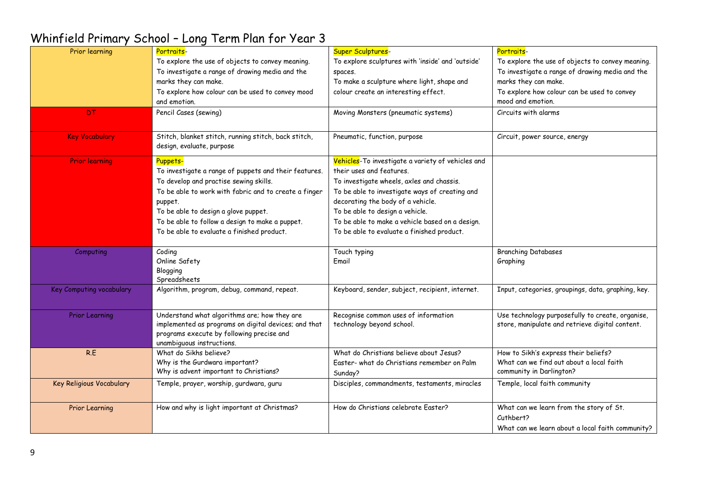| Prior learning           | Portraits-                                                                        | Super Sculptures-                                 | Portraits-                                         |
|--------------------------|-----------------------------------------------------------------------------------|---------------------------------------------------|----------------------------------------------------|
|                          | To explore the use of objects to convey meaning.                                  | To explore sculptures with 'inside' and 'outside' | To explore the use of objects to convey meaning.   |
|                          | To investigate a range of drawing media and the                                   | spaces.                                           | To investigate a range of drawing media and the    |
|                          | marks they can make.                                                              | To make a sculpture where light, shape and        | marks they can make.                               |
|                          | To explore how colour can be used to convey mood                                  | colour create an interesting effect.              | To explore how colour can be used to convey        |
|                          | and emotion.                                                                      |                                                   | mood and emotion.                                  |
| <b>DT</b>                | Pencil Cases (sewing)                                                             | Moving Monsters (pneumatic systems)               | Circuits with alarms                               |
| <b>Key Vocabulary</b>    | Stitch, blanket stitch, running stitch, back stitch,<br>design, evaluate, purpose | Pneumatic, function, purpose                      | Circuit, power source, energy                      |
| <b>Prior learning</b>    | Puppets-                                                                          | Vehicles-To investigate a variety of vehicles and |                                                    |
|                          | To investigate a range of puppets and their features.                             | their uses and features.                          |                                                    |
|                          | To develop and practise sewing skills.                                            | To investigate wheels, axles and chassis.         |                                                    |
|                          | To be able to work with fabric and to create a finger                             | To be able to investigate ways of creating and    |                                                    |
|                          | puppet.                                                                           | decorating the body of a vehicle.                 |                                                    |
|                          | To be able to design a glove puppet.                                              | To be able to design a vehicle.                   |                                                    |
|                          | To be able to follow a design to make a puppet.                                   | To be able to make a vehicle based on a design.   |                                                    |
|                          | To be able to evaluate a finished product.                                        | To be able to evaluate a finished product.        |                                                    |
| Computing                | Coding                                                                            | Touch typing                                      | <b>Branching Databases</b>                         |
|                          | Online Safety                                                                     | Email                                             | Graphing                                           |
|                          | Blogging                                                                          |                                                   |                                                    |
|                          | Spreadsheets                                                                      |                                                   |                                                    |
| Key Computing vocabulary | Algorithm, program, debug, command, repeat.                                       | Keyboard, sender, subject, recipient, internet.   | Input, categories, groupings, data, graphing, key. |
| <b>Prior Learning</b>    | Understand what algorithms are; how they are                                      | Recognise common uses of information              | Use technology purposefully to create, organise,   |
|                          | implemented as programs on digital devices; and that                              | technology beyond school.                         | store, manipulate and retrieve digital content.    |
|                          | programs execute by following precise and                                         |                                                   |                                                    |
|                          | unambiguous instructions.                                                         |                                                   |                                                    |
| R.E                      | What do Sikhs believe?                                                            | What do Christians believe about Jesus?           | How to Sikh's express their beliefs?               |
|                          | Why is the Gurdwara important?                                                    | Easter- what do Christians remember on Palm       | What can we find out about a local faith           |
|                          | Why is advent important to Christians?                                            | Sunday?                                           | community in Darlington?                           |
| Key Religious Vocabulary | Temple, prayer, worship, gurdwara, guru                                           | Disciples, commandments, testaments, miracles     | Temple, local faith community                      |
| <b>Prior Learning</b>    | How and why is light important at Christmas?                                      | How do Christians celebrate Easter?               | What can we learn from the story of St.            |
|                          |                                                                                   |                                                   | Cuthbert?                                          |
|                          |                                                                                   |                                                   | What can we learn about a local faith community?   |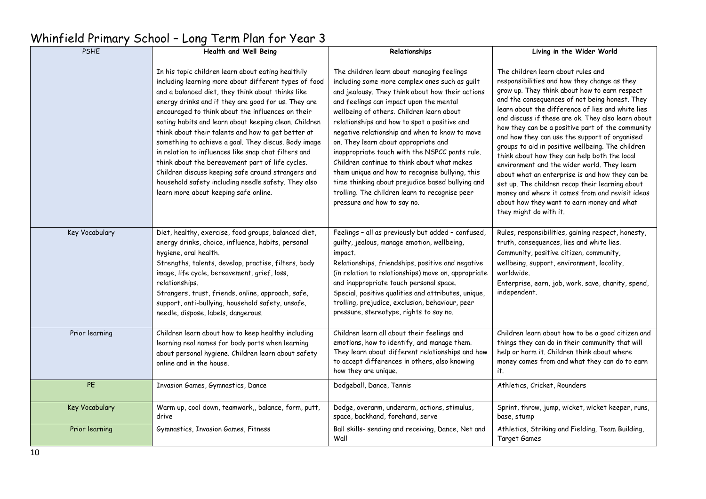#### PSHE **Health and Well Being** In his topic children learn about eating healthily including learning more about different types of food and a balanced diet, they think about thinks like energy drinks and if they are good for us. They are encouraged to think about the influences on their eating habits and learn about keeping clean. Children think about their talents and how to get better at something to achieve a goal. They discus. Body image in relation to influences like snap chat filters and think about the bereavement part of life cycles. Children discuss keeping safe around strangers and household safety including needle safety. They also learn more about keeping safe online. **Relationships** The children learn about managing feelings including some more complex ones such as guilt and jealousy. They think about how their actions and feelings can impact upon the mental wellbeing of others. Children learn about relationships and how to spot a positive and negative relationship and when to know to move on. They learn about appropriate and inappropriate touch with the NSPCC pants rule. Children continue to think about what makes them unique and how to recognise bullying, this time thinking about prejudice based bullying and trolling. The children learn to recognise peer pressure and how to say no. **Living in the Wider World** The children learn about rules and responsibilities and how they change as they grow up. They think about how to earn respect and the consequences of not being honest. They learn about the difference of lies and white lies and discuss if these are ok. They also learn about how they can be a positive part of the community and how they can use the support of organised groups to aid in positive wellbeing. The children think about how they can help both the local environment and the wider world. They learn about what an enterprise is and how they can be set up. The children recap their learning about money and where it comes from and revisit ideas about how they want to earn money and what they might do with it. Key Vocabulary Diet, healthy, exercise, food groups, balanced diet, energy drinks, choice, influence, habits, personal hygiene, oral health. Strengths, talents, develop, practise, filters, body image, life cycle, bereavement, grief, loss, relationships. Strangers, trust, friends, online, approach, safe, support, anti-bullying, household safety, unsafe, needle, dispose, labels, dangerous. Feelings – all as previously but added – confused, guilty, jealous, manage emotion, wellbeing, impact. Relationships, friendships, positive and negative (in relation to relationships) move on, appropriate and inappropriate touch personal space. Special, positive qualities and attributes, unique, trolling, prejudice, exclusion, behaviour, peer pressure, stereotype, rights to say no. Rules, responsibilities, gaining respect, honesty, truth, consequences, lies and white lies. Community, positive citizen, community, wellbeing, support, environment, locality, worldwide. Enterprise, earn, job, work, save, charity, spend, independent. Prior learning Children learn about how to keep healthy including learning real names for body parts when learning about personal hygiene. Children learn about safety online and in the house. Children learn all about their feelings and emotions, how to identify, and manage them. They learn about different relationships and how to accept differences in others, also knowing how they are unique. Children learn about how to be a good citizen and things they can do in their community that will help or harm it. Children think about where money comes from and what they can do to earn it. PE Invasion Games, Gymnastics, Dance Dodgeball, Dance, Tennis Athletics, Cricket, Rounders Athletics, Cricket, Rounders Key Vocabulary Warm up, cool down, teamwork,, balance, form, putt, drive Dodge, overarm, underarm, actions, stimulus, space, backhand, forehand, serve Sprint, throw, jump, wicket, wicket keeper, runs, base, stump Prior learning Gymnastics, Invasion Games, Fitness Ball skills- sending and receiving, Dance, Net and Wall Athletics, Striking and Fielding, Team Building, Target Games